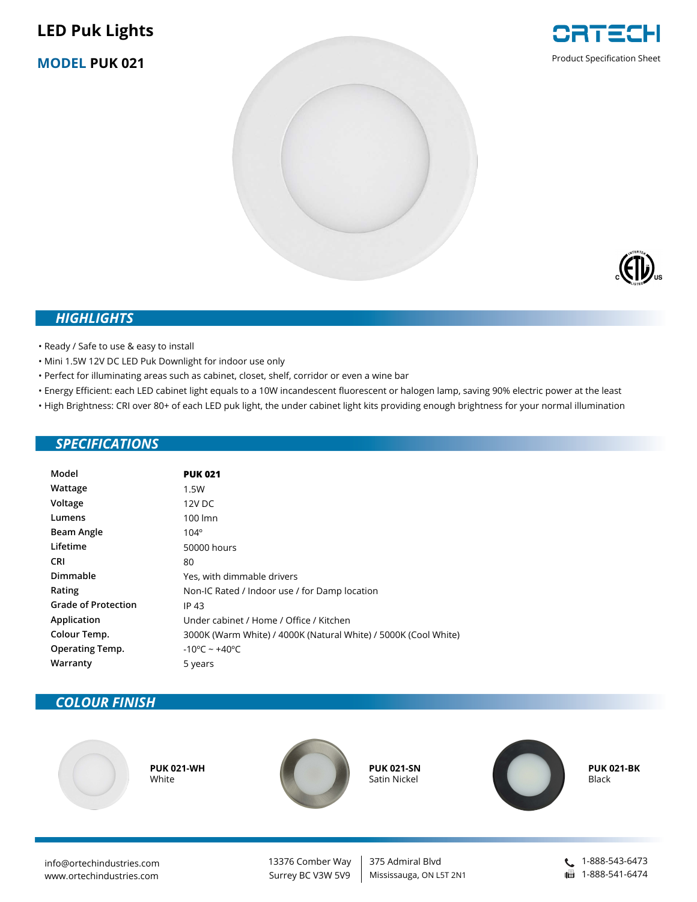# **LED Puk Lights**

**MODEL PUK 021**





#### *HIGHLIGHTS*

• Ready / Safe to use & easy to install

- Mini 1.5W 12V DC LED Puk Downlight for indoor use only
- Perfect for illuminating areas such as cabinet, closet, shelf, corridor or even a wine bar
- Energy Efficient: each LED cabinet light equals to a 10W incandescent fluorescent or halogen lamp, saving 90% electric power at the least
- High Brightness: CRI over 80+ of each LED puk light, the under cabinet light kits providing enough brightness for your normal illumination

#### *SPECIFICATIONS*

| Model                      | <b>PUK 021</b>                                                  |  |  |
|----------------------------|-----------------------------------------------------------------|--|--|
| Wattage                    | 1.5W                                                            |  |  |
| Voltage                    | 12V DC                                                          |  |  |
| Lumens                     | 100 lmn                                                         |  |  |
| Beam Angle                 | $104^\circ$                                                     |  |  |
| Lifetime                   | 50000 hours                                                     |  |  |
| <b>CRI</b>                 | 80                                                              |  |  |
| Dimmable                   | Yes, with dimmable drivers                                      |  |  |
| Rating                     | Non-IC Rated / Indoor use / for Damp location                   |  |  |
| <b>Grade of Protection</b> | IP 43                                                           |  |  |
| Application                | Under cabinet / Home / Office / Kitchen                         |  |  |
| Colour Temp.               | 3000K (Warm White) / 4000K (Natural White) / 5000K (Cool White) |  |  |
| <b>Operating Temp.</b>     | $-10^{\circ}$ C ~ +40 $^{\circ}$ C                              |  |  |
| Warranty                   | 5 years                                                         |  |  |

### *COLOUR FINISH*



**PUK 021-BK** Black

info@ortechindustries.com www.ortechindustries.com

13376 Comber Way Surrey BC V3W 5V9

375 Admiral Blvd Mississauga, ON L5T 2N1 1-888-543-6473 | 1-888-541-6474